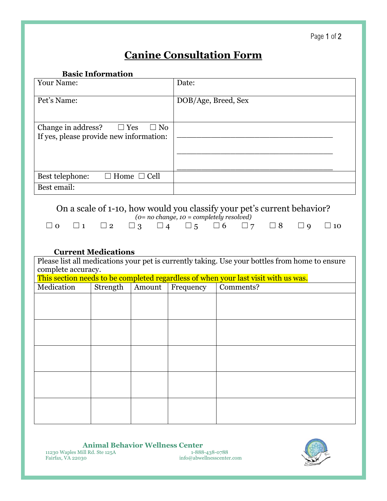## **Canine Consultation Form**

**Basic Information**

| <b>Your Name:</b>                                                                        | Date:               |
|------------------------------------------------------------------------------------------|---------------------|
| Pet's Name:                                                                              | DOB/Age, Breed, Sex |
| Change in address? $\square$ Yes<br>$\Box$ No<br>If yes, please provide new information: |                     |
| Best telephone:<br>$\Box$ Home $\Box$ Cell                                               |                     |
| Best email:                                                                              |                     |

## On a scale of 1-10, how would you classify your pet's current behavior?

| $(o=no \ change, 10 = completely \ resolved)$ |  |  |                                                                                                     |  |  |  |  |  |  |  |
|-----------------------------------------------|--|--|-----------------------------------------------------------------------------------------------------|--|--|--|--|--|--|--|
|                                               |  |  | $\Box$ 0 $\Box$ 1 $\Box$ 2 $\Box$ 3 $\Box$ 4 $\Box$ 5 $\Box$ 6 $\Box$ 7 $\Box$ 8 $\Box$ 9 $\Box$ 10 |  |  |  |  |  |  |  |

## **Current Medications**

| Please list all medications your pet is currently taking. Use your bottles from home to ensure<br>complete accuracy. |          |        |           |           |  |  |
|----------------------------------------------------------------------------------------------------------------------|----------|--------|-----------|-----------|--|--|
| This section needs to be completed regardless of when your last visit with us was.                                   |          |        |           |           |  |  |
| Medication                                                                                                           | Strength | Amount | Frequency | Comments? |  |  |
|                                                                                                                      |          |        |           |           |  |  |
|                                                                                                                      |          |        |           |           |  |  |
|                                                                                                                      |          |        |           |           |  |  |
|                                                                                                                      |          |        |           |           |  |  |
|                                                                                                                      |          |        |           |           |  |  |
|                                                                                                                      |          |        |           |           |  |  |
|                                                                                                                      |          |        |           |           |  |  |
|                                                                                                                      |          |        |           |           |  |  |
|                                                                                                                      |          |        |           |           |  |  |
|                                                                                                                      |          |        |           |           |  |  |
|                                                                                                                      |          |        |           |           |  |  |
|                                                                                                                      |          |        |           |           |  |  |

**Animal Behavior Wellness Center**<br> **ill Rd. Ste 125A** 1-888-438-0788 11230 Waples Mill Rd. Ste 125A<br>**Fairfax**, VA 22030

info@abwellnesscenter.com